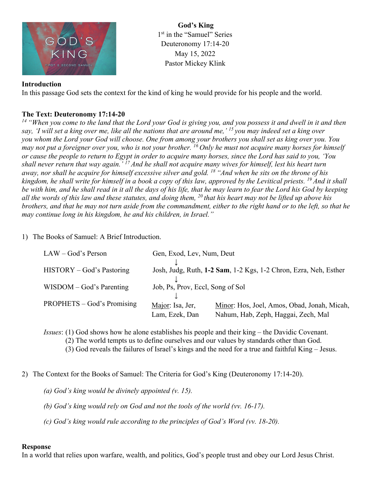

**God's King** 1<sup>st</sup> in the "Samuel" Series Deuteronomy 17:14-20 May 15, 2022 Pastor Mickey Klink

## **Introduction**

In this passage God sets the context for the kind of king he would provide for his people and the world.

## **The Text: Deuteronomy 17:14-20**

*<sup>14</sup> "When you come to the land that the Lord your God is giving you, and you possess it and dwell in it and then say, 'I will set a king over me, like all the nations that are around me,' <sup>15</sup> you may indeed set a king over you whom the Lord your God will choose. One from among your brothers you shall set as king over you. You may not put a foreigner over you, who is not your brother. <sup>16</sup> Only he must not acquire many horses for himself or cause the people to return to Egypt in order to acquire many horses, since the Lord has said to you, 'You shall never return that way again.' <sup>17</sup> And he shall not acquire many wives for himself, lest his heart turn away, nor shall he acquire for himself excessive silver and gold. <sup>18</sup> "And when he sits on the throne of his kingdom, he shall write for himself in a book a copy of this law, approved by the Levitical priests. <sup>19</sup> And it shall be with him, and he shall read in it all the days of his life, that he may learn to fear the Lord his God by keeping all the words of this law and these statutes, and doing them, <sup>20</sup> that his heart may not be lifted up above his brothers, and that he may not turn aside from the commandment, either to the right hand or to the left, so that he may continue long in his kingdom, he and his children, in Israel."*

1) The Books of Samuel: A Brief Introduction.

| $LAW - God's Person$              | Gen, Exod, Lev, Num, Deut        |                                                                  |
|-----------------------------------|----------------------------------|------------------------------------------------------------------|
| HISTORY – God's Pastoring         |                                  | Josh, Judg, Ruth, 1-2 Sam, 1-2 Kgs, 1-2 Chron, Ezra, Neh, Esther |
| $WISDOM - God's \, \nParenting$   | Job, Ps, Prov, Eccl, Song of Sol |                                                                  |
| <b>PROPHETS</b> – God's Promising | Major: Isa, Jer,                 | Minor: Hos, Joel, Amos, Obad, Jonah, Micah,                      |
|                                   | Lam, Ezek, Dan                   | Nahum, Hab, Zeph, Haggai, Zech, Mal                              |

*Issues*: (1) God shows how he alone establishes his people and their king – the Davidic Covenant.

(2) The world tempts us to define ourselves and our values by standards other than God.

(3) God reveals the failures of Israel's kings and the need for a true and faithful King – Jesus.

2) The Context for the Books of Samuel: The Criteria for God's King (Deuteronomy 17:14-20).

*(a) God's king would be divinely appointed (v. 15).*

*(b) God's king would rely on God and not the tools of the world (vv. 16-17).*

*(c) God's king would rule according to the principles of God's Word (vv. 18-20).*

## **Response**

In a world that relies upon warfare, wealth, and politics, God's people trust and obey our Lord Jesus Christ.